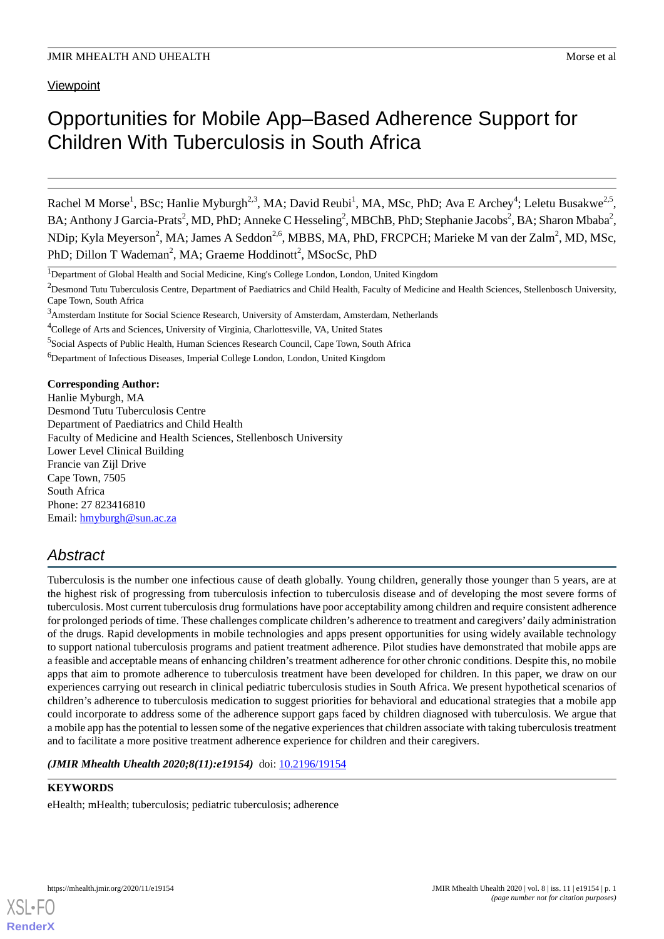# **Viewpoint**

# Opportunities for Mobile App–Based Adherence Support for Children With Tuberculosis in South Africa

Rachel M Morse<sup>1</sup>, BSc; Hanlie Myburgh<sup>2,3</sup>, MA; David Reubi<sup>1</sup>, MA, MSc, PhD; Ava E Archey<sup>4</sup>; Leletu Busakwe<sup>2,5</sup>, BA; Anthony J Garcia-Prats<sup>2</sup>, MD, PhD; Anneke C Hesseling<sup>2</sup>, MBChB, PhD; Stephanie Jacobs<sup>2</sup>, BA; Sharon Mbaba<sup>2</sup>, NDip; Kyla Meyerson<sup>2</sup>, MA; James A Seddon<sup>2,6</sup>, MBBS, MA, PhD, FRCPCH; Marieke M van der Zalm<sup>2</sup>, MD, MSc, PhD; Dillon T Wademan<sup>2</sup>, MA; Graeme Hoddinott<sup>2</sup>, MSocSc, PhD

**Corresponding Author:**

Hanlie Myburgh, MA Desmond Tutu Tuberculosis Centre Department of Paediatrics and Child Health Faculty of Medicine and Health Sciences, Stellenbosch University Lower Level Clinical Building Francie van Zijl Drive Cape Town, 7505 South Africa Phone: 27 823416810 Email: [hmyburgh@sun.ac.za](mailto:hmyburgh@sun.ac.za)

# *Abstract*

Tuberculosis is the number one infectious cause of death globally. Young children, generally those younger than 5 years, are at the highest risk of progressing from tuberculosis infection to tuberculosis disease and of developing the most severe forms of tuberculosis. Most current tuberculosis drug formulations have poor acceptability among children and require consistent adherence for prolonged periods of time. These challenges complicate children's adherence to treatment and caregivers'daily administration of the drugs. Rapid developments in mobile technologies and apps present opportunities for using widely available technology to support national tuberculosis programs and patient treatment adherence. Pilot studies have demonstrated that mobile apps are a feasible and acceptable means of enhancing children's treatment adherence for other chronic conditions. Despite this, no mobile apps that aim to promote adherence to tuberculosis treatment have been developed for children. In this paper, we draw on our experiences carrying out research in clinical pediatric tuberculosis studies in South Africa. We present hypothetical scenarios of children's adherence to tuberculosis medication to suggest priorities for behavioral and educational strategies that a mobile app could incorporate to address some of the adherence support gaps faced by children diagnosed with tuberculosis. We argue that a mobile app has the potential to lessen some of the negative experiences that children associate with taking tuberculosis treatment and to facilitate a more positive treatment adherence experience for children and their caregivers.

## *(JMIR Mhealth Uhealth 2020;8(11):e19154*) doi: [10.2196/19154](http://dx.doi.org/10.2196/19154)

## **KEYWORDS**

eHealth; mHealth; tuberculosis; pediatric tuberculosis; adherence



**[RenderX](http://www.renderx.com/)**

<sup>&</sup>lt;sup>1</sup>Department of Global Health and Social Medicine, King's College London, London, United Kingdom

<sup>&</sup>lt;sup>2</sup>Desmond Tutu Tuberculosis Centre, Department of Paediatrics and Child Health, Faculty of Medicine and Health Sciences, Stellenbosch University, Cape Town, South Africa

<sup>&</sup>lt;sup>3</sup>Amsterdam Institute for Social Science Research, University of Amsterdam, Amsterdam, Netherlands

<sup>&</sup>lt;sup>4</sup>College of Arts and Sciences, University of Virginia, Charlottesville, VA, United States

<sup>&</sup>lt;sup>5</sup> Social Aspects of Public Health, Human Sciences Research Council, Cape Town, South Africa

<sup>&</sup>lt;sup>6</sup>Department of Infectious Diseases, Imperial College London, London, United Kingdom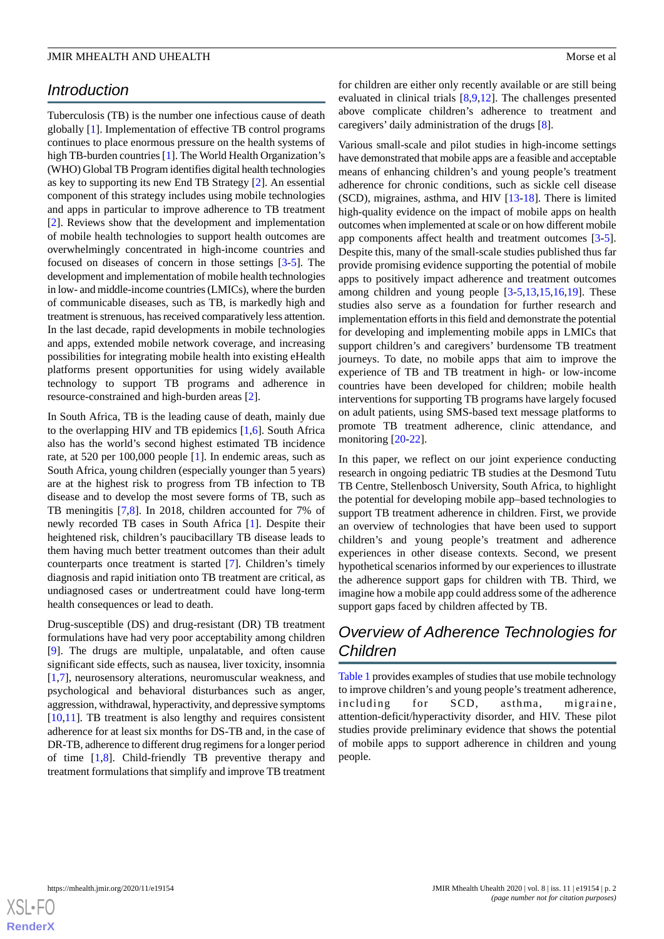# *Introduction*

Tuberculosis (TB) is the number one infectious cause of death globally [\[1](#page-6-0)]. Implementation of effective TB control programs continues to place enormous pressure on the health systems of high TB-burden countries [[1\]](#page-6-0). The World Health Organization's (WHO) Global TB Program identifies digital health technologies as key to supporting its new End TB Strategy [\[2](#page-6-1)]. An essential component of this strategy includes using mobile technologies and apps in particular to improve adherence to TB treatment [[2\]](#page-6-1). Reviews show that the development and implementation of mobile health technologies to support health outcomes are overwhelmingly concentrated in high-income countries and focused on diseases of concern in those settings [[3-](#page-6-2)[5](#page-6-3)]. The development and implementation of mobile health technologies in low- and middle-income countries (LMICs), where the burden of communicable diseases, such as TB, is markedly high and treatment is strenuous, has received comparatively less attention. In the last decade, rapid developments in mobile technologies and apps, extended mobile network coverage, and increasing possibilities for integrating mobile health into existing eHealth platforms present opportunities for using widely available technology to support TB programs and adherence in resource-constrained and high-burden areas [[2\]](#page-6-1).

In South Africa, TB is the leading cause of death, mainly due to the overlapping HIV and TB epidemics [[1,](#page-6-0)[6](#page-6-4)]. South Africa also has the world's second highest estimated TB incidence rate, at 520 per 100,000 people [[1\]](#page-6-0). In endemic areas, such as South Africa, young children (especially younger than 5 years) are at the highest risk to progress from TB infection to TB disease and to develop the most severe forms of TB, such as TB meningitis [[7,](#page-6-5)[8](#page-6-6)]. In 2018, children accounted for 7% of newly recorded TB cases in South Africa [[1\]](#page-6-0). Despite their heightened risk, children's paucibacillary TB disease leads to them having much better treatment outcomes than their adult counterparts once treatment is started [[7](#page-6-5)]. Children's timely diagnosis and rapid initiation onto TB treatment are critical, as undiagnosed cases or undertreatment could have long-term health consequences or lead to death.

Drug-susceptible (DS) and drug-resistant (DR) TB treatment formulations have had very poor acceptability among children [[9\]](#page-6-7). The drugs are multiple, unpalatable, and often cause significant side effects, such as nausea, liver toxicity, insomnia [[1](#page-6-0)[,7](#page-6-5)], neurosensory alterations, neuromuscular weakness, and psychological and behavioral disturbances such as anger, aggression, withdrawal, hyperactivity, and depressive symptoms [[10](#page-6-8)[,11](#page-6-9)]. TB treatment is also lengthy and requires consistent adherence for at least six months for DS-TB and, in the case of DR-TB, adherence to different drug regimens for a longer period of time [[1](#page-6-0)[,8\]](#page-6-6). Child-friendly TB preventive therapy and treatment formulations that simplify and improve TB treatment

for children are either only recently available or are still being evaluated in clinical trials [[8,](#page-6-6)[9](#page-6-7),[12\]](#page-6-10). The challenges presented above complicate children's adherence to treatment and caregivers' daily administration of the drugs [[8\]](#page-6-6).

Various small-scale and pilot studies in high-income settings have demonstrated that mobile apps are a feasible and acceptable means of enhancing children's and young people's treatment adherence for chronic conditions, such as sickle cell disease (SCD), migraines, asthma, and HIV [[13](#page-6-11)[-18](#page-7-0)]. There is limited high-quality evidence on the impact of mobile apps on health outcomes when implemented at scale or on how different mobile app components affect health and treatment outcomes [[3-](#page-6-2)[5\]](#page-6-3). Despite this, many of the small-scale studies published thus far provide promising evidence supporting the potential of mobile apps to positively impact adherence and treatment outcomes among children and young people [\[3](#page-6-2)-[5,](#page-6-3)[13](#page-6-11),[15,](#page-6-12)[16](#page-7-1),[19\]](#page-7-2). These studies also serve as a foundation for further research and implementation efforts in this field and demonstrate the potential for developing and implementing mobile apps in LMICs that support children's and caregivers' burdensome TB treatment journeys. To date, no mobile apps that aim to improve the experience of TB and TB treatment in high- or low-income countries have been developed for children; mobile health interventions for supporting TB programs have largely focused on adult patients, using SMS-based text message platforms to promote TB treatment adherence, clinic attendance, and monitoring [[20](#page-7-3)[-22](#page-7-4)].

In this paper, we reflect on our joint experience conducting research in ongoing pediatric TB studies at the Desmond Tutu TB Centre, Stellenbosch University, South Africa, to highlight the potential for developing mobile app–based technologies to support TB treatment adherence in children. First, we provide an overview of technologies that have been used to support children's and young people's treatment and adherence experiences in other disease contexts. Second, we present hypothetical scenarios informed by our experiences to illustrate the adherence support gaps for children with TB. Third, we imagine how a mobile app could address some of the adherence support gaps faced by children affected by TB.

# *Overview of Adherence Technologies for Children*

[Table 1](#page-2-0) provides examples of studies that use mobile technology to improve children's and young people's treatment adherence, including for SCD, asthma, migraine, attention-deficit/hyperactivity disorder, and HIV. These pilot studies provide preliminary evidence that shows the potential of mobile apps to support adherence in children and young people.

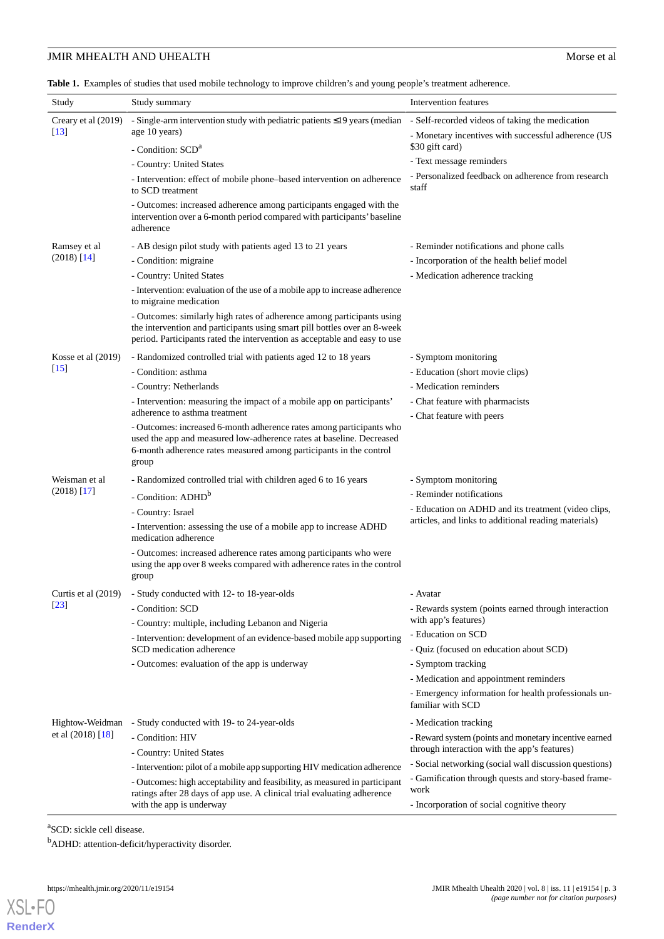## **JMIR MHEALTH AND UHEALTH** Morse et al.

<span id="page-2-0"></span>**Table 1.** Examples of studies that used mobile technology to improve children's and young people's treatment adherence.

| Study                                    | Study summary                                                                                                                                                                                                                    | Intervention features                                                                                                     |
|------------------------------------------|----------------------------------------------------------------------------------------------------------------------------------------------------------------------------------------------------------------------------------|---------------------------------------------------------------------------------------------------------------------------|
| Creary et al (2019)<br>$[13]$            | - Single-arm intervention study with pediatric patients $\leq$ 19 years (median                                                                                                                                                  | - Self-recorded videos of taking the medication<br>- Monetary incentives with successful adherence (US<br>\$30 gift card) |
|                                          | age 10 years)<br>- Condition: SCD <sup>a</sup>                                                                                                                                                                                   |                                                                                                                           |
|                                          | - Country: United States                                                                                                                                                                                                         | - Text message reminders                                                                                                  |
|                                          | - Intervention: effect of mobile phone–based intervention on adherence                                                                                                                                                           | - Personalized feedback on adherence from research                                                                        |
|                                          | to SCD treatment                                                                                                                                                                                                                 | staff                                                                                                                     |
|                                          | - Outcomes: increased adherence among participants engaged with the<br>intervention over a 6-month period compared with participants' baseline<br>adherence                                                                      |                                                                                                                           |
| Ramsey et al<br>$(2018)$ [14]            | - AB design pilot study with patients aged 13 to 21 years                                                                                                                                                                        | - Reminder notifications and phone calls                                                                                  |
|                                          | - Condition: migraine                                                                                                                                                                                                            | - Incorporation of the health belief model                                                                                |
|                                          | - Country: United States                                                                                                                                                                                                         | - Medication adherence tracking                                                                                           |
|                                          | - Intervention: evaluation of the use of a mobile app to increase adherence<br>to migraine medication                                                                                                                            |                                                                                                                           |
|                                          | - Outcomes: similarly high rates of adherence among participants using<br>the intervention and participants using smart pill bottles over an 8-week<br>period. Participants rated the intervention as acceptable and easy to use |                                                                                                                           |
| Kosse et al $(2019)$<br>$[15]$           | - Randomized controlled trial with patients aged 12 to 18 years                                                                                                                                                                  | - Symptom monitoring                                                                                                      |
|                                          | - Condition: asthma                                                                                                                                                                                                              | - Education (short movie clips)                                                                                           |
|                                          | - Country: Netherlands                                                                                                                                                                                                           | - Medication reminders                                                                                                    |
|                                          | - Intervention: measuring the impact of a mobile app on participants'                                                                                                                                                            | - Chat feature with pharmacists                                                                                           |
|                                          | adherence to asthma treatment                                                                                                                                                                                                    | - Chat feature with peers                                                                                                 |
|                                          | - Outcomes: increased 6-month adherence rates among participants who<br>used the app and measured low-adherence rates at baseline. Decreased<br>6-month adherence rates measured among participants in the control<br>group      |                                                                                                                           |
| Weisman et al                            | - Randomized controlled trial with children aged 6 to 16 years                                                                                                                                                                   | - Symptom monitoring                                                                                                      |
| $(2018)$ [17]                            | - Condition: ADHD <sup>b</sup>                                                                                                                                                                                                   | - Reminder notifications                                                                                                  |
|                                          | - Country: Israel                                                                                                                                                                                                                | - Education on ADHD and its treatment (video clips,<br>articles, and links to additional reading materials)               |
|                                          | - Intervention: assessing the use of a mobile app to increase ADHD<br>medication adherence                                                                                                                                       |                                                                                                                           |
|                                          | - Outcomes: increased adherence rates among participants who were<br>using the app over 8 weeks compared with adherence rates in the control<br>group                                                                            |                                                                                                                           |
| Curtis et al (2019)<br>$\left[23\right]$ | - Study conducted with 12- to 18-year-olds                                                                                                                                                                                       | - Avatar                                                                                                                  |
|                                          | - Condition: SCD                                                                                                                                                                                                                 | - Rewards system (points earned through interaction                                                                       |
|                                          | - Country: multiple, including Lebanon and Nigeria                                                                                                                                                                               | with app's features)                                                                                                      |
|                                          | - Intervention: development of an evidence-based mobile app supporting<br>SCD medication adherence                                                                                                                               | - Education on SCD                                                                                                        |
|                                          |                                                                                                                                                                                                                                  | - Quiz (focused on education about SCD)                                                                                   |
|                                          | - Outcomes: evaluation of the app is underway                                                                                                                                                                                    | - Symptom tracking                                                                                                        |
|                                          |                                                                                                                                                                                                                                  | - Medication and appointment reminders                                                                                    |
|                                          |                                                                                                                                                                                                                                  | - Emergency information for health professionals un-<br>familiar with SCD                                                 |
| Hightow-Weidman<br>et al $(2018)$ [18]   | - Study conducted with 19- to 24-year-olds                                                                                                                                                                                       | - Medication tracking                                                                                                     |
|                                          | - Condition: HIV                                                                                                                                                                                                                 | - Reward system (points and monetary incentive earned                                                                     |
|                                          | - Country: United States                                                                                                                                                                                                         | through interaction with the app's features)                                                                              |
|                                          | - Intervention: pilot of a mobile app supporting HIV medication adherence                                                                                                                                                        | - Social networking (social wall discussion questions)                                                                    |
|                                          | - Outcomes: high acceptability and feasibility, as measured in participant<br>ratings after 28 days of app use. A clinical trial evaluating adherence                                                                            | - Gamification through quests and story-based frame-<br>work                                                              |
|                                          | with the app is underway                                                                                                                                                                                                         | - Incorporation of social cognitive theory                                                                                |

a SCD: sickle cell disease.

**[RenderX](http://www.renderx.com/)**

<sup>b</sup>ADHD: attention-deficit/hyperactivity disorder.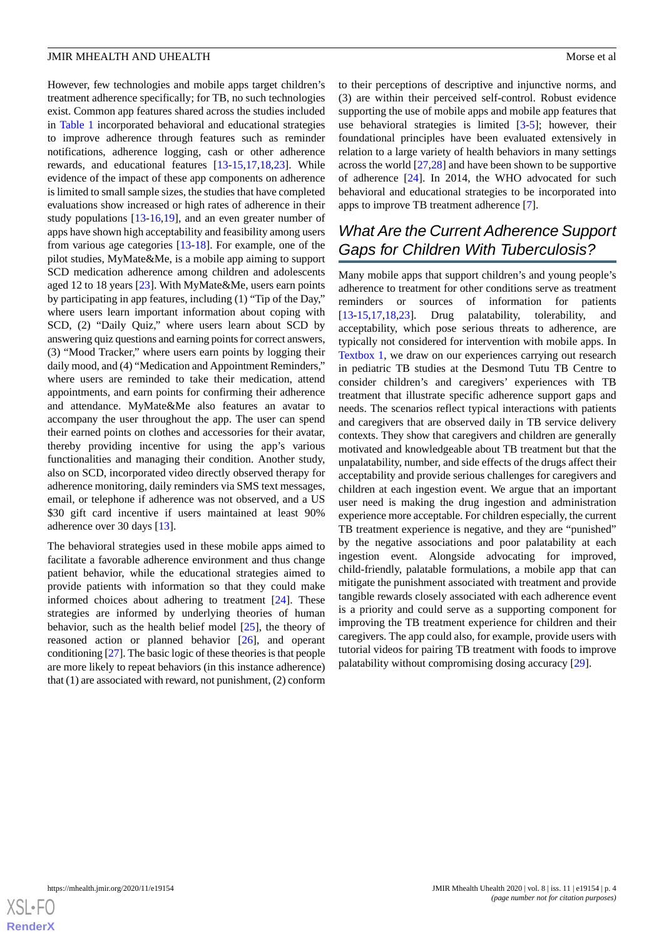However, few technologies and mobile apps target children's treatment adherence specifically; for TB, no such technologies exist. Common app features shared across the studies included in [Table 1](#page-2-0) incorporated behavioral and educational strategies to improve adherence through features such as reminder notifications, adherence logging, cash or other adherence rewards, and educational features [[13-](#page-6-11)[15](#page-6-12),[17,](#page-7-5)[18](#page-7-0),[23\]](#page-7-6). While evidence of the impact of these app components on adherence is limited to small sample sizes, the studies that have completed evaluations show increased or high rates of adherence in their study populations [[13](#page-6-11)[-16](#page-7-1),[19\]](#page-7-2), and an even greater number of apps have shown high acceptability and feasibility among users from various age categories [[13-](#page-6-11)[18\]](#page-7-0). For example, one of the pilot studies, MyMate&Me, is a mobile app aiming to support SCD medication adherence among children and adolescents aged 12 to 18 years [[23\]](#page-7-6). With MyMate&Me, users earn points by participating in app features, including (1) "Tip of the Day," where users learn important information about coping with SCD, (2) "Daily Quiz," where users learn about SCD by answering quiz questions and earning points for correct answers, (3) "Mood Tracker," where users earn points by logging their daily mood, and (4) "Medication and Appointment Reminders," where users are reminded to take their medication, attend appointments, and earn points for confirming their adherence and attendance. MyMate&Me also features an avatar to accompany the user throughout the app. The user can spend their earned points on clothes and accessories for their avatar, thereby providing incentive for using the app's various functionalities and managing their condition. Another study, also on SCD, incorporated video directly observed therapy for adherence monitoring, daily reminders via SMS text messages, email, or telephone if adherence was not observed, and a US \$30 gift card incentive if users maintained at least 90% adherence over 30 days [\[13](#page-6-11)].

The behavioral strategies used in these mobile apps aimed to facilitate a favorable adherence environment and thus change patient behavior, while the educational strategies aimed to provide patients with information so that they could make informed choices about adhering to treatment [[24\]](#page-7-7). These strategies are informed by underlying theories of human behavior, such as the health belief model [[25\]](#page-7-8), the theory of reasoned action or planned behavior [[26\]](#page-7-9), and operant conditioning [\[27](#page-7-10)]. The basic logic of these theories is that people are more likely to repeat behaviors (in this instance adherence) that (1) are associated with reward, not punishment, (2) conform to their perceptions of descriptive and injunctive norms, and (3) are within their perceived self-control. Robust evidence supporting the use of mobile apps and mobile app features that use behavioral strategies is limited [\[3-](#page-6-2)[5\]](#page-6-3); however, their foundational principles have been evaluated extensively in relation to a large variety of health behaviors in many settings across the world [\[27](#page-7-10),[28\]](#page-7-11) and have been shown to be supportive of adherence [[24\]](#page-7-7). In 2014, the WHO advocated for such behavioral and educational strategies to be incorporated into apps to improve TB treatment adherence [\[7](#page-6-5)].

# *What Are the Current Adherence Support Gaps for Children With Tuberculosis?*

Many mobile apps that support children's and young people's adherence to treatment for other conditions serve as treatment reminders or sources of information for patients [[13](#page-6-11)[-15](#page-6-12),[17](#page-7-5)[,18](#page-7-0),[23\]](#page-7-6). Drug palatability, tolerability, and acceptability, which pose serious threats to adherence, are typically not considered for intervention with mobile apps. In [Textbox 1](#page-4-0), we draw on our experiences carrying out research in pediatric TB studies at the Desmond Tutu TB Centre to consider children's and caregivers' experiences with TB treatment that illustrate specific adherence support gaps and needs. The scenarios reflect typical interactions with patients and caregivers that are observed daily in TB service delivery contexts. They show that caregivers and children are generally motivated and knowledgeable about TB treatment but that the unpalatability, number, and side effects of the drugs affect their acceptability and provide serious challenges for caregivers and children at each ingestion event. We argue that an important user need is making the drug ingestion and administration experience more acceptable. For children especially, the current TB treatment experience is negative, and they are "punished" by the negative associations and poor palatability at each ingestion event. Alongside advocating for improved, child-friendly, palatable formulations, a mobile app that can mitigate the punishment associated with treatment and provide tangible rewards closely associated with each adherence event is a priority and could serve as a supporting component for improving the TB treatment experience for children and their caregivers. The app could also, for example, provide users with tutorial videos for pairing TB treatment with foods to improve palatability without compromising dosing accuracy [[29\]](#page-7-12).

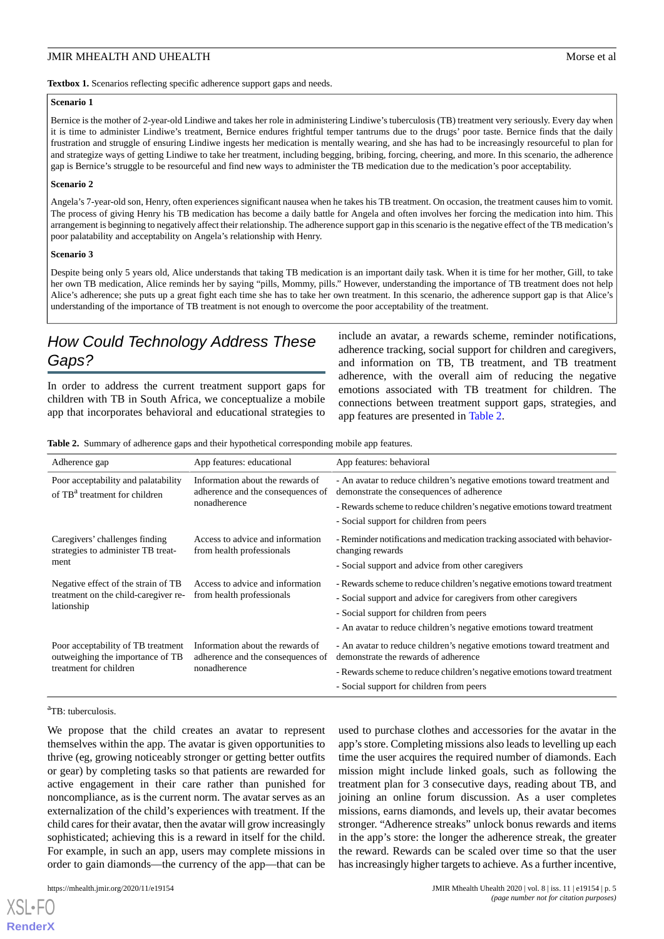<span id="page-4-0"></span>Textbox 1. Scenarios reflecting specific adherence support gaps and needs.

#### **Scenario 1**

Bernice is the mother of 2-year-old Lindiwe and takes her role in administering Lindiwe's tuberculosis (TB) treatment very seriously. Every day when it is time to administer Lindiwe's treatment, Bernice endures frightful temper tantrums due to the drugs' poor taste. Bernice finds that the daily frustration and struggle of ensuring Lindiwe ingests her medication is mentally wearing, and she has had to be increasingly resourceful to plan for and strategize ways of getting Lindiwe to take her treatment, including begging, bribing, forcing, cheering, and more. In this scenario, the adherence gap is Bernice's struggle to be resourceful and find new ways to administer the TB medication due to the medication's poor acceptability.

#### **Scenario 2**

Angela's 7-year-old son, Henry, often experiences significant nausea when he takes his TB treatment. On occasion, the treatment causes him to vomit. The process of giving Henry his TB medication has become a daily battle for Angela and often involves her forcing the medication into him. This arrangement is beginning to negatively affect their relationship. The adherence support gap in this scenario is the negative effect of the TB medication's poor palatability and acceptability on Angela's relationship with Henry.

#### **Scenario 3**

Despite being only 5 years old, Alice understands that taking TB medication is an important daily task. When it is time for her mother, Gill, to take her own TB medication, Alice reminds her by saying "pills, Mommy, pills." However, understanding the importance of TB treatment does not help Alice's adherence; she puts up a great fight each time she has to take her own treatment. In this scenario, the adherence support gap is that Alice's understanding of the importance of TB treatment is not enough to overcome the poor acceptability of the treatment.

# *How Could Technology Address These Gaps?*

<span id="page-4-1"></span>In order to address the current treatment support gaps for children with TB in South Africa, we conceptualize a mobile app that incorporates behavioral and educational strategies to

include an avatar, a rewards scheme, reminder notifications, adherence tracking, social support for children and caregivers, and information on TB, TB treatment, and TB treatment adherence, with the overall aim of reducing the negative emotions associated with TB treatment for children. The connections between treatment support gaps, strategies, and app features are presented in [Table 2](#page-4-1).

**Table 2.** Summary of adherence gaps and their hypothetical corresponding mobile app features.

| Adherence gap                                                                                    | App features: educational                                                             | App features: behavioral                                                                                                                                                                                                                                        |
|--------------------------------------------------------------------------------------------------|---------------------------------------------------------------------------------------|-----------------------------------------------------------------------------------------------------------------------------------------------------------------------------------------------------------------------------------------------------------------|
| Poor acceptability and palatability<br>of TB <sup>a</sup> treatment for children                 | Information about the rewards of<br>adherence and the consequences of<br>nonadherence | - An avatar to reduce children's negative emotions toward treatment and<br>demonstrate the consequences of adherence<br>- Rewards scheme to reduce children's negative emotions toward treatment<br>- Social support for children from peers                    |
| Caregivers' challenges finding<br>strategies to administer TB treat-<br>ment                     | Access to advice and information<br>from health professionals                         | - Reminder notifications and medication tracking associated with behavior-<br>changing rewards<br>- Social support and advice from other caregivers                                                                                                             |
| Negative effect of the strain of TB<br>treatment on the child-caregiver re-<br>lationship        | Access to advice and information<br>from health professionals                         | - Rewards scheme to reduce children's negative emotions toward treatment<br>- Social support and advice for caregivers from other caregivers<br>- Social support for children from peers<br>- An avatar to reduce children's negative emotions toward treatment |
| Poor acceptability of TB treatment<br>outweighing the importance of TB<br>treatment for children | Information about the rewards of<br>adherence and the consequences of<br>nonadherence | - An avatar to reduce children's negative emotions toward treatment and<br>demonstrate the rewards of adherence<br>- Rewards scheme to reduce children's negative emotions toward treatment<br>- Social support for children from peers                         |

#### <sup>a</sup>TB: tuberculosis.

We propose that the child creates an avatar to represent themselves within the app. The avatar is given opportunities to thrive (eg, growing noticeably stronger or getting better outfits or gear) by completing tasks so that patients are rewarded for active engagement in their care rather than punished for noncompliance, as is the current norm. The avatar serves as an externalization of the child's experiences with treatment. If the child cares for their avatar, then the avatar will grow increasingly sophisticated; achieving this is a reward in itself for the child. For example, in such an app, users may complete missions in order to gain diamonds—the currency of the app—that can be

[XSL](http://www.w3.org/Style/XSL)•FO **[RenderX](http://www.renderx.com/)**

used to purchase clothes and accessories for the avatar in the app's store. Completing missions also leads to levelling up each time the user acquires the required number of diamonds. Each mission might include linked goals, such as following the treatment plan for 3 consecutive days, reading about TB, and joining an online forum discussion. As a user completes missions, earns diamonds, and levels up, their avatar becomes stronger. "Adherence streaks" unlock bonus rewards and items in the app's store: the longer the adherence streak, the greater the reward. Rewards can be scaled over time so that the user has increasingly higher targets to achieve. As a further incentive,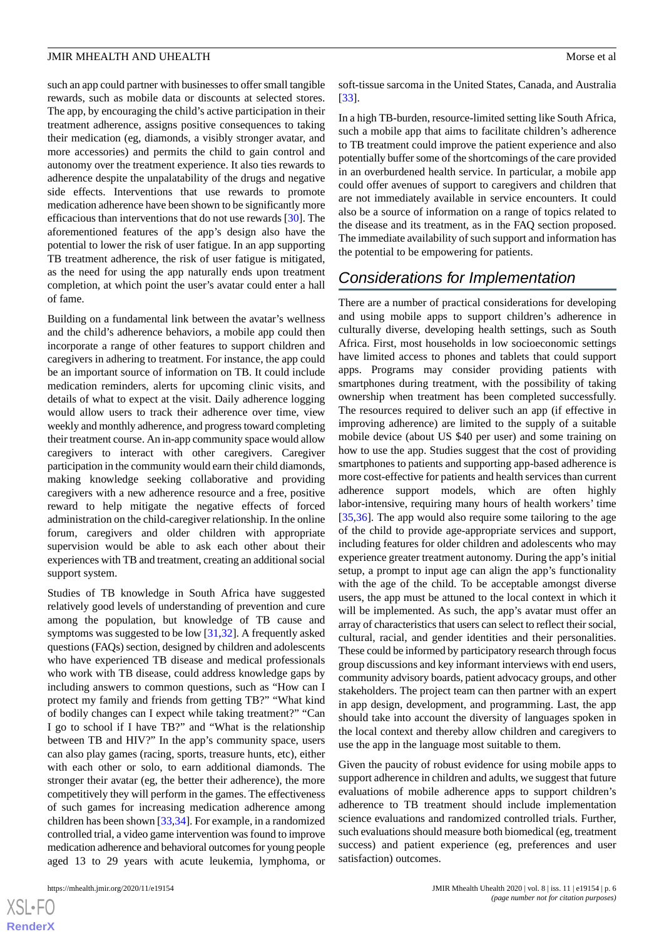such an app could partner with businesses to offer small tangible rewards, such as mobile data or discounts at selected stores. The app, by encouraging the child's active participation in their treatment adherence, assigns positive consequences to taking their medication (eg, diamonds, a visibly stronger avatar, and more accessories) and permits the child to gain control and autonomy over the treatment experience. It also ties rewards to adherence despite the unpalatability of the drugs and negative side effects. Interventions that use rewards to promote medication adherence have been shown to be significantly more efficacious than interventions that do not use rewards [\[30](#page-7-13)]. The aforementioned features of the app's design also have the potential to lower the risk of user fatigue. In an app supporting TB treatment adherence, the risk of user fatigue is mitigated, as the need for using the app naturally ends upon treatment completion, at which point the user's avatar could enter a hall of fame.

Building on a fundamental link between the avatar's wellness and the child's adherence behaviors, a mobile app could then incorporate a range of other features to support children and caregivers in adhering to treatment. For instance, the app could be an important source of information on TB. It could include medication reminders, alerts for upcoming clinic visits, and details of what to expect at the visit. Daily adherence logging would allow users to track their adherence over time, view weekly and monthly adherence, and progress toward completing their treatment course. An in-app community space would allow caregivers to interact with other caregivers. Caregiver participation in the community would earn their child diamonds, making knowledge seeking collaborative and providing caregivers with a new adherence resource and a free, positive reward to help mitigate the negative effects of forced administration on the child-caregiver relationship. In the online forum, caregivers and older children with appropriate supervision would be able to ask each other about their experiences with TB and treatment, creating an additional social support system.

Studies of TB knowledge in South Africa have suggested relatively good levels of understanding of prevention and cure among the population, but knowledge of TB cause and symptoms was suggested to be low [\[31](#page-7-14),[32\]](#page-7-15). A frequently asked questions (FAQs) section, designed by children and adolescents who have experienced TB disease and medical professionals who work with TB disease, could address knowledge gaps by including answers to common questions, such as "How can I protect my family and friends from getting TB?" "What kind of bodily changes can I expect while taking treatment?" "Can I go to school if I have TB?" and "What is the relationship between TB and HIV?" In the app's community space, users can also play games (racing, sports, treasure hunts, etc), either with each other or solo, to earn additional diamonds. The stronger their avatar (eg, the better their adherence), the more competitively they will perform in the games. The effectiveness of such games for increasing medication adherence among children has been shown [\[33](#page-7-16),[34\]](#page-7-17). For example, in a randomized controlled trial, a video game intervention was found to improve medication adherence and behavioral outcomes for young people aged 13 to 29 years with acute leukemia, lymphoma, or

 $XS$  $\cdot$ FC **[RenderX](http://www.renderx.com/)** soft-tissue sarcoma in the United States, Canada, and Australia [[33\]](#page-7-16).

In a high TB-burden, resource-limited setting like South Africa, such a mobile app that aims to facilitate children's adherence to TB treatment could improve the patient experience and also potentially buffer some of the shortcomings of the care provided in an overburdened health service. In particular, a mobile app could offer avenues of support to caregivers and children that are not immediately available in service encounters. It could also be a source of information on a range of topics related to the disease and its treatment, as in the FAQ section proposed. The immediate availability of such support and information has the potential to be empowering for patients.

# *Considerations for Implementation*

There are a number of practical considerations for developing and using mobile apps to support children's adherence in culturally diverse, developing health settings, such as South Africa. First, most households in low socioeconomic settings have limited access to phones and tablets that could support apps. Programs may consider providing patients with smartphones during treatment, with the possibility of taking ownership when treatment has been completed successfully. The resources required to deliver such an app (if effective in improving adherence) are limited to the supply of a suitable mobile device (about US \$40 per user) and some training on how to use the app. Studies suggest that the cost of providing smartphones to patients and supporting app-based adherence is more cost-effective for patients and health services than current adherence support models, which are often highly labor-intensive, requiring many hours of health workers' time [[35,](#page-7-18)[36\]](#page-7-19). The app would also require some tailoring to the age of the child to provide age-appropriate services and support, including features for older children and adolescents who may experience greater treatment autonomy. During the app's initial setup, a prompt to input age can align the app's functionality with the age of the child. To be acceptable amongst diverse users, the app must be attuned to the local context in which it will be implemented. As such, the app's avatar must offer an array of characteristics that users can select to reflect their social, cultural, racial, and gender identities and their personalities. These could be informed by participatory research through focus group discussions and key informant interviews with end users, community advisory boards, patient advocacy groups, and other stakeholders. The project team can then partner with an expert in app design, development, and programming. Last, the app should take into account the diversity of languages spoken in the local context and thereby allow children and caregivers to use the app in the language most suitable to them.

Given the paucity of robust evidence for using mobile apps to support adherence in children and adults, we suggest that future evaluations of mobile adherence apps to support children's adherence to TB treatment should include implementation science evaluations and randomized controlled trials. Further, such evaluations should measure both biomedical (eg, treatment success) and patient experience (eg, preferences and user satisfaction) outcomes.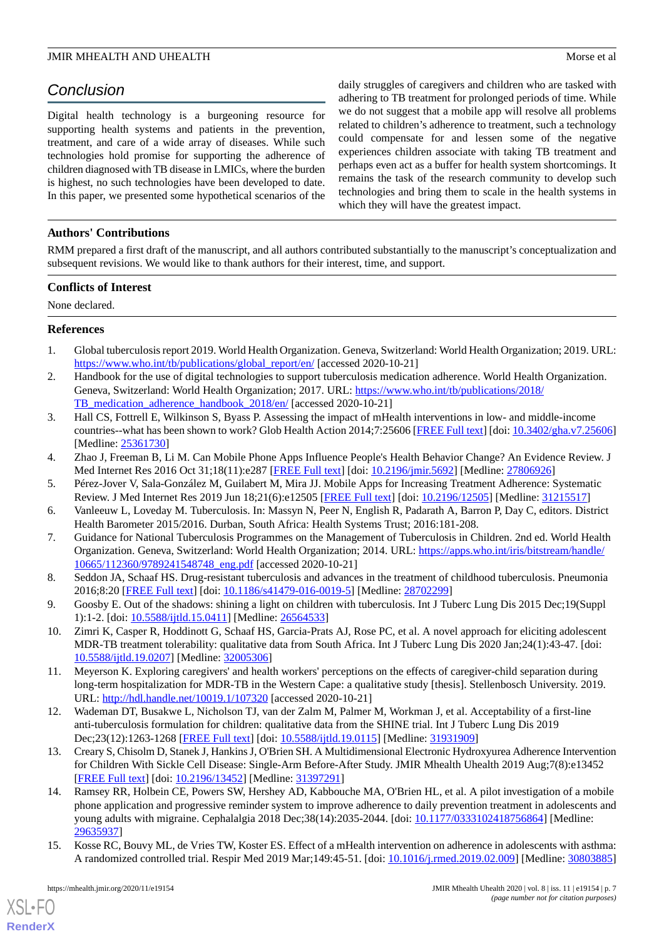### **JMIR MHEALTH AND UHEALTH** Morse et al.

# *Conclusion*

Digital health technology is a burgeoning resource for supporting health systems and patients in the prevention, treatment, and care of a wide array of diseases. While such technologies hold promise for supporting the adherence of children diagnosed with TB disease in LMICs, where the burden is highest, no such technologies have been developed to date. In this paper, we presented some hypothetical scenarios of the daily struggles of caregivers and children who are tasked with adhering to TB treatment for prolonged periods of time. While we do not suggest that a mobile app will resolve all problems related to children's adherence to treatment, such a technology could compensate for and lessen some of the negative experiences children associate with taking TB treatment and perhaps even act as a buffer for health system shortcomings. It remains the task of the research community to develop such technologies and bring them to scale in the health systems in which they will have the greatest impact.

# **Authors' Contributions**

RMM prepared a first draft of the manuscript, and all authors contributed substantially to the manuscript's conceptualization and subsequent revisions. We would like to thank authors for their interest, time, and support.

# **Conflicts of Interest**

<span id="page-6-0"></span>None declared.

# **References**

- <span id="page-6-1"></span>1. Global tuberculosis report 2019. World Health Organization. Geneva, Switzerland: World Health Organization; 2019. URL: [https://www.who.int/tb/publications/global\\_report/en/](https://www.who.int/tb/publications/global_report/en/) [accessed 2020-10-21]
- <span id="page-6-2"></span>2. Handbook for the use of digital technologies to support tuberculosis medication adherence. World Health Organization. Geneva, Switzerland: World Health Organization; 2017. URL: [https://www.who.int/tb/publications/2018/](https://www.who.int/tb/publications/2018/TB_medication_adherence_handbook_2018/en/) [TB\\_medication\\_adherence\\_handbook\\_2018/en/](https://www.who.int/tb/publications/2018/TB_medication_adherence_handbook_2018/en/) [accessed 2020-10-21]
- 3. Hall CS, Fottrell E, Wilkinson S, Byass P. Assessing the impact of mHealth interventions in low- and middle-income countries--what has been shown to work? Glob Health Action 2014;7:25606 [[FREE Full text](http://europepmc.org/abstract/MED/25361730)] [doi: [10.3402/gha.v7.25606](http://dx.doi.org/10.3402/gha.v7.25606)] [Medline: [25361730](http://www.ncbi.nlm.nih.gov/entrez/query.fcgi?cmd=Retrieve&db=PubMed&list_uids=25361730&dopt=Abstract)]
- <span id="page-6-4"></span><span id="page-6-3"></span>4. Zhao J, Freeman B, Li M. Can Mobile Phone Apps Influence People's Health Behavior Change? An Evidence Review. J Med Internet Res 2016 Oct 31;18(11):e287 [\[FREE Full text\]](http://www.jmir.org/2016/11/e287/) [doi: [10.2196/jmir.5692\]](http://dx.doi.org/10.2196/jmir.5692) [Medline: [27806926\]](http://www.ncbi.nlm.nih.gov/entrez/query.fcgi?cmd=Retrieve&db=PubMed&list_uids=27806926&dopt=Abstract)
- <span id="page-6-5"></span>5. Pérez-Jover V, Sala-González M, Guilabert M, Mira JJ. Mobile Apps for Increasing Treatment Adherence: Systematic Review. J Med Internet Res 2019 Jun 18;21(6):e12505 [[FREE Full text](https://www.jmir.org/2019/6/e12505/)] [doi: [10.2196/12505](http://dx.doi.org/10.2196/12505)] [Medline: [31215517](http://www.ncbi.nlm.nih.gov/entrez/query.fcgi?cmd=Retrieve&db=PubMed&list_uids=31215517&dopt=Abstract)]
- <span id="page-6-6"></span>6. Vanleeuw L, Loveday M. Tuberculosis. In: Massyn N, Peer N, English R, Padarath A, Barron P, Day C, editors. District Health Barometer 2015/2016. Durban, South Africa: Health Systems Trust; 2016:181-208.
- <span id="page-6-7"></span>7. Guidance for National Tuberculosis Programmes on the Management of Tuberculosis in Children. 2nd ed. World Health Organization. Geneva, Switzerland: World Health Organization; 2014. URL: [https://apps.who.int/iris/bitstream/handle/](https://apps.who.int/iris/bitstream/handle/10665/112360/9789241548748_eng.pdf) [10665/112360/9789241548748\\_eng.pdf](https://apps.who.int/iris/bitstream/handle/10665/112360/9789241548748_eng.pdf) [accessed 2020-10-21]
- <span id="page-6-8"></span>8. Seddon JA, Schaaf HS. Drug-resistant tuberculosis and advances in the treatment of childhood tuberculosis. Pneumonia 2016;8:20 [[FREE Full text](https://pneumonia.biomedcentral.com/articles/10.1186/s41479-016-0019-5)] [doi: [10.1186/s41479-016-0019-5\]](http://dx.doi.org/10.1186/s41479-016-0019-5) [Medline: [28702299](http://www.ncbi.nlm.nih.gov/entrez/query.fcgi?cmd=Retrieve&db=PubMed&list_uids=28702299&dopt=Abstract)]
- <span id="page-6-9"></span>9. Goosby E. Out of the shadows: shining a light on children with tuberculosis. Int J Tuberc Lung Dis 2015 Dec;19(Suppl 1):1-2. [doi: [10.5588/ijtld.15.0411\]](http://dx.doi.org/10.5588/ijtld.15.0411) [Medline: [26564533\]](http://www.ncbi.nlm.nih.gov/entrez/query.fcgi?cmd=Retrieve&db=PubMed&list_uids=26564533&dopt=Abstract)
- <span id="page-6-10"></span>10. Zimri K, Casper R, Hoddinott G, Schaaf HS, Garcia-Prats AJ, Rose PC, et al. A novel approach for eliciting adolescent MDR-TB treatment tolerability: qualitative data from South Africa. Int J Tuberc Lung Dis 2020 Jan;24(1):43-47. [doi: [10.5588/ijtld.19.0207\]](http://dx.doi.org/10.5588/ijtld.19.0207) [Medline: [32005306\]](http://www.ncbi.nlm.nih.gov/entrez/query.fcgi?cmd=Retrieve&db=PubMed&list_uids=32005306&dopt=Abstract)
- <span id="page-6-11"></span>11. Meyerson K. Exploring caregivers' and health workers' perceptions on the effects of caregiver-child separation during long-term hospitalization for MDR-TB in the Western Cape: a qualitative study [thesis]. Stellenbosch University. 2019. URL: <http://hdl.handle.net/10019.1/107320> [accessed 2020-10-21]
- <span id="page-6-13"></span>12. Wademan DT, Busakwe L, Nicholson TJ, van der Zalm M, Palmer M, Workman J, et al. Acceptability of a first-line anti-tuberculosis formulation for children: qualitative data from the SHINE trial. Int J Tuberc Lung Dis 2019 Dec;23(12):1263-1268 [\[FREE Full text](http://europepmc.org/abstract/MED/31931909)] [doi: [10.5588/ijtld.19.0115](http://dx.doi.org/10.5588/ijtld.19.0115)] [Medline: [31931909\]](http://www.ncbi.nlm.nih.gov/entrez/query.fcgi?cmd=Retrieve&db=PubMed&list_uids=31931909&dopt=Abstract)
- <span id="page-6-12"></span>13. Creary S, Chisolm D, Stanek J, Hankins J, O'Brien SH. A Multidimensional Electronic Hydroxyurea Adherence Intervention for Children With Sickle Cell Disease: Single-Arm Before-After Study. JMIR Mhealth Uhealth 2019 Aug;7(8):e13452 [[FREE Full text](https://mhealth.jmir.org/2019/8/e13452/)] [doi: [10.2196/13452\]](http://dx.doi.org/10.2196/13452) [Medline: [31397291\]](http://www.ncbi.nlm.nih.gov/entrez/query.fcgi?cmd=Retrieve&db=PubMed&list_uids=31397291&dopt=Abstract)
- 14. Ramsey RR, Holbein CE, Powers SW, Hershey AD, Kabbouche MA, O'Brien HL, et al. A pilot investigation of a mobile phone application and progressive reminder system to improve adherence to daily prevention treatment in adolescents and young adults with migraine. Cephalalgia 2018 Dec;38(14):2035-2044. [doi: [10.1177/0333102418756864](http://dx.doi.org/10.1177/0333102418756864)] [Medline: [29635937](http://www.ncbi.nlm.nih.gov/entrez/query.fcgi?cmd=Retrieve&db=PubMed&list_uids=29635937&dopt=Abstract)]
- 15. Kosse RC, Bouvy ML, de Vries TW, Koster ES. Effect of a mHealth intervention on adherence in adolescents with asthma: A randomized controlled trial. Respir Med 2019 Mar;149:45-51. [doi: [10.1016/j.rmed.2019.02.009\]](http://dx.doi.org/10.1016/j.rmed.2019.02.009) [Medline: [30803885](http://www.ncbi.nlm.nih.gov/entrez/query.fcgi?cmd=Retrieve&db=PubMed&list_uids=30803885&dopt=Abstract)]

[XSL](http://www.w3.org/Style/XSL)•FO **[RenderX](http://www.renderx.com/)**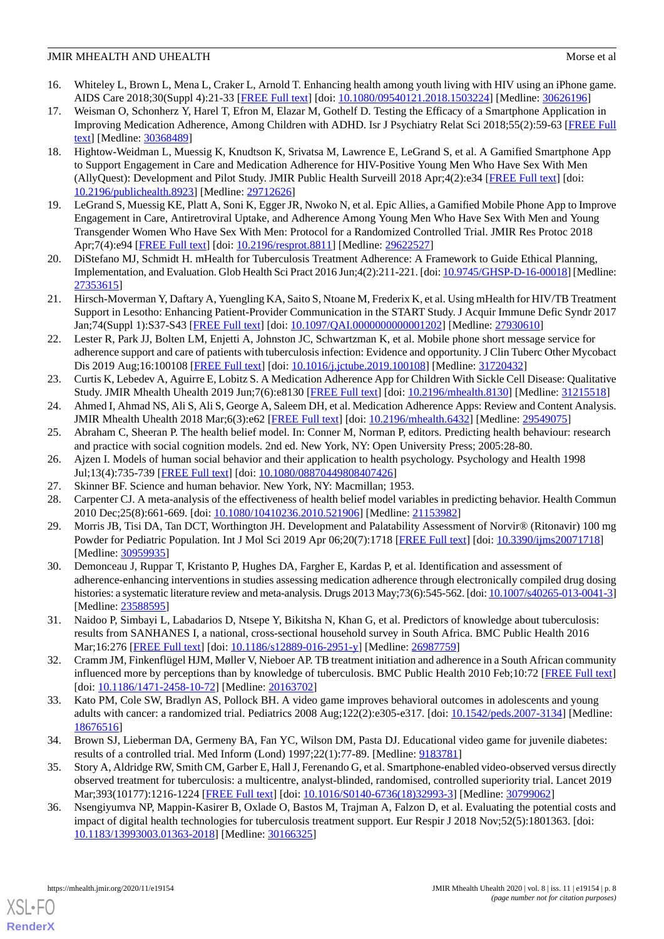### **JMIR MHEALTH AND UHEALTH** Morse et al.

- <span id="page-7-1"></span>16. Whiteley L, Brown L, Mena L, Craker L, Arnold T. Enhancing health among youth living with HIV using an iPhone game. AIDS Care 2018;30(Suppl 4):21-33 [[FREE Full text](http://europepmc.org/abstract/MED/30626196)] [doi: [10.1080/09540121.2018.1503224\]](http://dx.doi.org/10.1080/09540121.2018.1503224) [Medline: [30626196\]](http://www.ncbi.nlm.nih.gov/entrez/query.fcgi?cmd=Retrieve&db=PubMed&list_uids=30626196&dopt=Abstract)
- <span id="page-7-5"></span>17. Weisman O, Schonherz Y, Harel T, Efron M, Elazar M, Gothelf D. Testing the Efficacy of a Smartphone Application in Improving Medication Adherence, Among Children with ADHD. Isr J Psychiatry Relat Sci 2018;55(2):59-63 [[FREE Full](https://cdn.doctorsonly.co.il/2018/10/12_Testing-the-Efficacy-of.pdf) [text](https://cdn.doctorsonly.co.il/2018/10/12_Testing-the-Efficacy-of.pdf)] [Medline: [30368489](http://www.ncbi.nlm.nih.gov/entrez/query.fcgi?cmd=Retrieve&db=PubMed&list_uids=30368489&dopt=Abstract)]
- <span id="page-7-0"></span>18. Hightow-Weidman L, Muessig K, Knudtson K, Srivatsa M, Lawrence E, LeGrand S, et al. A Gamified Smartphone App to Support Engagement in Care and Medication Adherence for HIV-Positive Young Men Who Have Sex With Men (AllyQuest): Development and Pilot Study. JMIR Public Health Surveill 2018 Apr;4(2):e34 [[FREE Full text](http://publichealth.jmir.org/2018/2/e34/)] [doi: [10.2196/publichealth.8923\]](http://dx.doi.org/10.2196/publichealth.8923) [Medline: [29712626\]](http://www.ncbi.nlm.nih.gov/entrez/query.fcgi?cmd=Retrieve&db=PubMed&list_uids=29712626&dopt=Abstract)
- <span id="page-7-2"></span>19. LeGrand S, Muessig KE, Platt A, Soni K, Egger JR, Nwoko N, et al. Epic Allies, a Gamified Mobile Phone App to Improve Engagement in Care, Antiretroviral Uptake, and Adherence Among Young Men Who Have Sex With Men and Young Transgender Women Who Have Sex With Men: Protocol for a Randomized Controlled Trial. JMIR Res Protoc 2018 Apr;7(4):e94 [[FREE Full text\]](http://www.researchprotocols.org/2018/4/e94/) [doi: [10.2196/resprot.8811\]](http://dx.doi.org/10.2196/resprot.8811) [Medline: [29622527\]](http://www.ncbi.nlm.nih.gov/entrez/query.fcgi?cmd=Retrieve&db=PubMed&list_uids=29622527&dopt=Abstract)
- <span id="page-7-3"></span>20. DiStefano MJ, Schmidt H. mHealth for Tuberculosis Treatment Adherence: A Framework to Guide Ethical Planning, Implementation, and Evaluation. Glob Health Sci Pract 2016 Jun;4(2):211-221. [doi: [10.9745/GHSP-D-16-00018\]](http://dx.doi.org/10.9745/GHSP-D-16-00018) [Medline: [27353615](http://www.ncbi.nlm.nih.gov/entrez/query.fcgi?cmd=Retrieve&db=PubMed&list_uids=27353615&dopt=Abstract)]
- <span id="page-7-4"></span>21. Hirsch-Moverman Y, Daftary A, Yuengling KA, Saito S, Ntoane M, Frederix K, et al. Using mHealth for HIV/TB Treatment Support in Lesotho: Enhancing Patient-Provider Communication in the START Study. J Acquir Immune Defic Syndr 2017 Jan;74(Suppl 1):S37-S43 [\[FREE Full text\]](http://europepmc.org/abstract/MED/27930610) [doi: [10.1097/QAI.0000000000001202](http://dx.doi.org/10.1097/QAI.0000000000001202)] [Medline: [27930610](http://www.ncbi.nlm.nih.gov/entrez/query.fcgi?cmd=Retrieve&db=PubMed&list_uids=27930610&dopt=Abstract)]
- <span id="page-7-6"></span>22. Lester R, Park JJ, Bolten LM, Enjetti A, Johnston JC, Schwartzman K, et al. Mobile phone short message service for adherence support and care of patients with tuberculosis infection: Evidence and opportunity. J Clin Tuberc Other Mycobact Dis 2019 Aug;16:100108 [\[FREE Full text](https://linkinghub.elsevier.com/retrieve/pii/S2405-5794(18)30041-X)] [doi: [10.1016/j.jctube.2019.100108\]](http://dx.doi.org/10.1016/j.jctube.2019.100108) [Medline: [31720432](http://www.ncbi.nlm.nih.gov/entrez/query.fcgi?cmd=Retrieve&db=PubMed&list_uids=31720432&dopt=Abstract)]
- <span id="page-7-8"></span><span id="page-7-7"></span>23. Curtis K, Lebedev A, Aguirre E, Lobitz S. A Medication Adherence App for Children With Sickle Cell Disease: Qualitative Study. JMIR Mhealth Uhealth 2019 Jun;7(6):e8130 [\[FREE Full text\]](https://mhealth.jmir.org/2019/6/e8130/) [doi: [10.2196/mhealth.8130](http://dx.doi.org/10.2196/mhealth.8130)] [Medline: [31215518\]](http://www.ncbi.nlm.nih.gov/entrez/query.fcgi?cmd=Retrieve&db=PubMed&list_uids=31215518&dopt=Abstract)
- <span id="page-7-9"></span>24. Ahmed I, Ahmad NS, Ali S, Ali S, George A, Saleem DH, et al. Medication Adherence Apps: Review and Content Analysis. JMIR Mhealth Uhealth 2018 Mar;6(3):e62 [\[FREE Full text\]](http://mhealth.jmir.org/2018/3/e62/) [doi: [10.2196/mhealth.6432](http://dx.doi.org/10.2196/mhealth.6432)] [Medline: [29549075\]](http://www.ncbi.nlm.nih.gov/entrez/query.fcgi?cmd=Retrieve&db=PubMed&list_uids=29549075&dopt=Abstract)
- <span id="page-7-10"></span>25. Abraham C, Sheeran P. The health belief model. In: Conner M, Norman P, editors. Predicting health behaviour: research and practice with social cognition models. 2nd ed. New York, NY: Open University Press; 2005:28-80.
- <span id="page-7-11"></span>26. Ajzen I. Models of human social behavior and their application to health psychology. Psychology and Health 1998 Jul;13(4):735-739 [[FREE Full text\]](https://doi.org/10.1080/08870449808407426) [doi: [10.1080/08870449808407426](http://dx.doi.org/10.1080/08870449808407426)]
- <span id="page-7-12"></span>27. Skinner BF. Science and human behavior. New York, NY: Macmillan; 1953.
- <span id="page-7-13"></span>28. Carpenter CJ. A meta-analysis of the effectiveness of health belief model variables in predicting behavior. Health Commun 2010 Dec;25(8):661-669. [doi: [10.1080/10410236.2010.521906](http://dx.doi.org/10.1080/10410236.2010.521906)] [Medline: [21153982](http://www.ncbi.nlm.nih.gov/entrez/query.fcgi?cmd=Retrieve&db=PubMed&list_uids=21153982&dopt=Abstract)]
- 29. Morris JB, Tisi DA, Tan DCT, Worthington JH. Development and Palatability Assessment of Norvir® (Ritonavir) 100 mg Powder for Pediatric Population. Int J Mol Sci 2019 Apr 06;20(7):1718 [[FREE Full text](https://www.mdpi.com/resolver?pii=ijms20071718)] [doi: [10.3390/ijms20071718](http://dx.doi.org/10.3390/ijms20071718)] [Medline: [30959935](http://www.ncbi.nlm.nih.gov/entrez/query.fcgi?cmd=Retrieve&db=PubMed&list_uids=30959935&dopt=Abstract)]
- <span id="page-7-14"></span>30. Demonceau J, Ruppar T, Kristanto P, Hughes DA, Fargher E, Kardas P, et al. Identification and assessment of adherence-enhancing interventions in studies assessing medication adherence through electronically compiled drug dosing histories: a systematic literature review and meta-analysis. Drugs 2013 May;73(6):545-562. [doi: [10.1007/s40265-013-0041-3\]](http://dx.doi.org/10.1007/s40265-013-0041-3) [Medline: [23588595](http://www.ncbi.nlm.nih.gov/entrez/query.fcgi?cmd=Retrieve&db=PubMed&list_uids=23588595&dopt=Abstract)]
- <span id="page-7-16"></span><span id="page-7-15"></span>31. Naidoo P, Simbayi L, Labadarios D, Ntsepe Y, Bikitsha N, Khan G, et al. Predictors of knowledge about tuberculosis: results from SANHANES I, a national, cross-sectional household survey in South Africa. BMC Public Health 2016 Mar;16:276 [[FREE Full text\]](https://bmcpublichealth.biomedcentral.com/articles/10.1186/s12889-016-2951-y) [doi: [10.1186/s12889-016-2951-y](http://dx.doi.org/10.1186/s12889-016-2951-y)] [Medline: [26987759](http://www.ncbi.nlm.nih.gov/entrez/query.fcgi?cmd=Retrieve&db=PubMed&list_uids=26987759&dopt=Abstract)]
- <span id="page-7-17"></span>32. Cramm JM, Finkenflügel HJM, Møller V, Nieboer AP. TB treatment initiation and adherence in a South African community influenced more by perceptions than by knowledge of tuberculosis. BMC Public Health 2010 Feb;10:72 [[FREE Full text](https://bmcpublichealth.biomedcentral.com/articles/10.1186/1471-2458-10-72)] [doi: [10.1186/1471-2458-10-72](http://dx.doi.org/10.1186/1471-2458-10-72)] [Medline: [20163702\]](http://www.ncbi.nlm.nih.gov/entrez/query.fcgi?cmd=Retrieve&db=PubMed&list_uids=20163702&dopt=Abstract)
- <span id="page-7-18"></span>33. Kato PM, Cole SW, Bradlyn AS, Pollock BH. A video game improves behavioral outcomes in adolescents and young adults with cancer: a randomized trial. Pediatrics 2008 Aug;122(2):e305-e317. [doi: [10.1542/peds.2007-3134](http://dx.doi.org/10.1542/peds.2007-3134)] [Medline: [18676516](http://www.ncbi.nlm.nih.gov/entrez/query.fcgi?cmd=Retrieve&db=PubMed&list_uids=18676516&dopt=Abstract)]
- <span id="page-7-19"></span>34. Brown SJ, Lieberman DA, Germeny BA, Fan YC, Wilson DM, Pasta DJ. Educational video game for juvenile diabetes: results of a controlled trial. Med Inform (Lond) 1997;22(1):77-89. [Medline: [9183781\]](http://www.ncbi.nlm.nih.gov/entrez/query.fcgi?cmd=Retrieve&db=PubMed&list_uids=9183781&dopt=Abstract)
- 35. Story A, Aldridge RW, Smith CM, Garber E, Hall J, Ferenando G, et al. Smartphone-enabled video-observed versus directly observed treatment for tuberculosis: a multicentre, analyst-blinded, randomised, controlled superiority trial. Lancet 2019 Mar;393(10177):1216-1224 [[FREE Full text\]](https://linkinghub.elsevier.com/retrieve/pii/S0140-6736(18)32993-3) [doi: [10.1016/S0140-6736\(18\)32993-3](http://dx.doi.org/10.1016/S0140-6736(18)32993-3)] [Medline: [30799062](http://www.ncbi.nlm.nih.gov/entrez/query.fcgi?cmd=Retrieve&db=PubMed&list_uids=30799062&dopt=Abstract)]
- 36. Nsengiyumva NP, Mappin-Kasirer B, Oxlade O, Bastos M, Trajman A, Falzon D, et al. Evaluating the potential costs and impact of digital health technologies for tuberculosis treatment support. Eur Respir J 2018 Nov;52(5):1801363. [doi: [10.1183/13993003.01363-2018\]](http://dx.doi.org/10.1183/13993003.01363-2018) [Medline: [30166325](http://www.ncbi.nlm.nih.gov/entrez/query.fcgi?cmd=Retrieve&db=PubMed&list_uids=30166325&dopt=Abstract)]

[XSL](http://www.w3.org/Style/XSL)•FO **[RenderX](http://www.renderx.com/)**